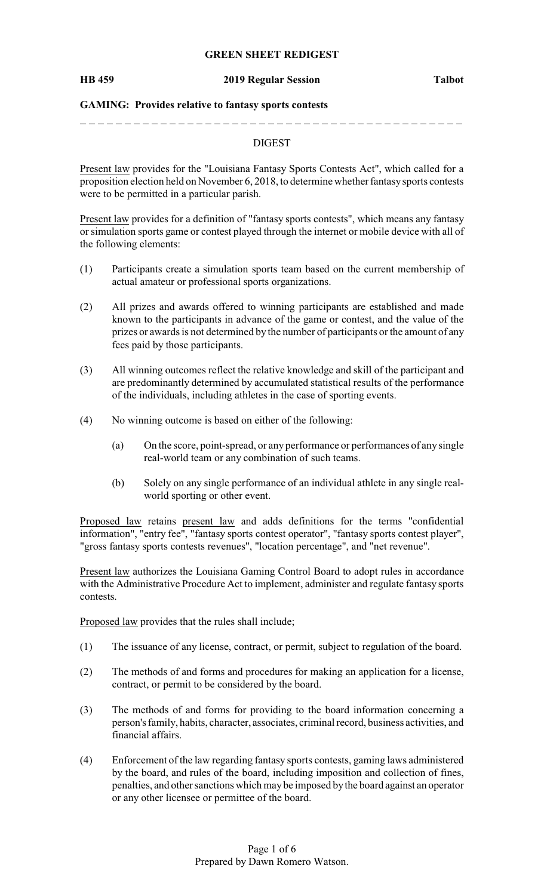### **GREEN SHEET REDIGEST**

#### **HB 459 2019 Regular Session Talbot**

## **GAMING: Provides relative to fantasy sports contests**

## DIGEST

Present law provides for the "Louisiana Fantasy Sports Contests Act", which called for a proposition election held on November 6, 2018, to determine whether fantasysports contests were to be permitted in a particular parish.

Present law provides for a definition of "fantasy sports contests", which means any fantasy or simulation sports game or contest played through the internet or mobile device with all of the following elements:

- (1) Participants create a simulation sports team based on the current membership of actual amateur or professional sports organizations.
- (2) All prizes and awards offered to winning participants are established and made known to the participants in advance of the game or contest, and the value of the prizes or awards is not determined by the number of participants or the amount of any fees paid by those participants.
- (3) All winning outcomes reflect the relative knowledge and skill of the participant and are predominantly determined by accumulated statistical results of the performance of the individuals, including athletes in the case of sporting events.
- (4) No winning outcome is based on either of the following:
	- (a) On the score, point-spread, or any performance or performances of any single real-world team or any combination of such teams.
	- (b) Solely on any single performance of an individual athlete in any single realworld sporting or other event.

Proposed law retains present law and adds definitions for the terms "confidential information", "entry fee", "fantasy sports contest operator", "fantasy sports contest player", "gross fantasy sports contests revenues", "location percentage", and "net revenue".

Present law authorizes the Louisiana Gaming Control Board to adopt rules in accordance with the Administrative Procedure Act to implement, administer and regulate fantasy sports contests.

Proposed law provides that the rules shall include;

- (1) The issuance of any license, contract, or permit, subject to regulation of the board.
- (2) The methods of and forms and procedures for making an application for a license, contract, or permit to be considered by the board.
- (3) The methods of and forms for providing to the board information concerning a person's family, habits, character, associates, criminal record, business activities, and financial affairs.
- (4) Enforcement of the law regarding fantasy sports contests, gaming laws administered by the board, and rules of the board, including imposition and collection of fines, penalties, and other sanctions which may be imposed bythe board against an operator or any other licensee or permittee of the board.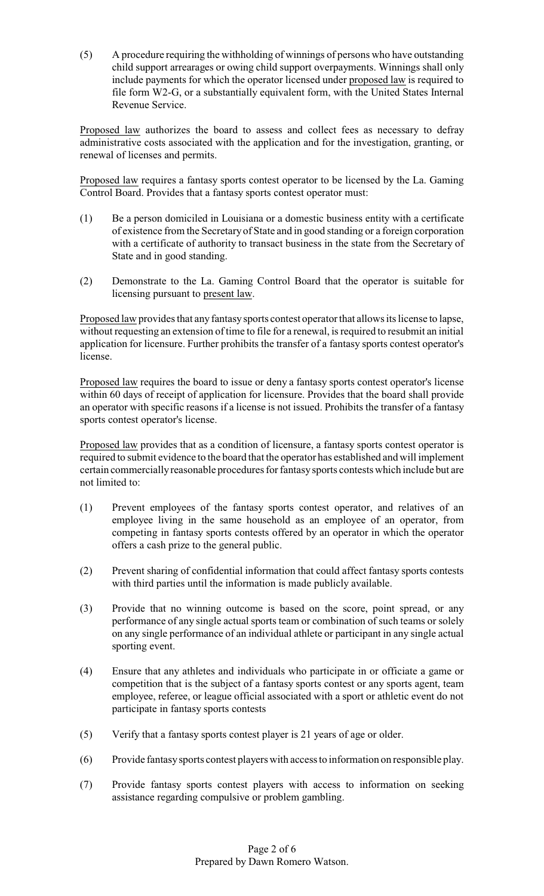(5) A procedure requiring the withholding of winnings of persons who have outstanding child support arrearages or owing child support overpayments. Winnings shall only include payments for which the operator licensed under proposed law is required to file form W2-G, or a substantially equivalent form, with the United States Internal Revenue Service.

Proposed law authorizes the board to assess and collect fees as necessary to defray administrative costs associated with the application and for the investigation, granting, or renewal of licenses and permits.

Proposed law requires a fantasy sports contest operator to be licensed by the La. Gaming Control Board. Provides that a fantasy sports contest operator must:

- (1) Be a person domiciled in Louisiana or a domestic business entity with a certificate of existence from the Secretaryof State and in good standing or a foreign corporation with a certificate of authority to transact business in the state from the Secretary of State and in good standing.
- (2) Demonstrate to the La. Gaming Control Board that the operator is suitable for licensing pursuant to present law.

Proposed law provides that any fantasy sports contest operator that allows its license to lapse, without requesting an extension of time to file for a renewal, is required to resubmit an initial application for licensure. Further prohibits the transfer of a fantasy sports contest operator's license.

Proposed law requires the board to issue or deny a fantasy sports contest operator's license within 60 days of receipt of application for licensure. Provides that the board shall provide an operator with specific reasons if a license is not issued. Prohibits the transfer of a fantasy sports contest operator's license.

Proposed law provides that as a condition of licensure, a fantasy sports contest operator is required to submit evidence to the board that the operator has established and will implement certain commerciallyreasonable procedures for fantasysports contests which include but are not limited to:

- (1) Prevent employees of the fantasy sports contest operator, and relatives of an employee living in the same household as an employee of an operator, from competing in fantasy sports contests offered by an operator in which the operator offers a cash prize to the general public.
- (2) Prevent sharing of confidential information that could affect fantasy sports contests with third parties until the information is made publicly available.
- (3) Provide that no winning outcome is based on the score, point spread, or any performance of any single actual sports team or combination of such teams or solely on any single performance of an individual athlete or participant in any single actual sporting event.
- (4) Ensure that any athletes and individuals who participate in or officiate a game or competition that is the subject of a fantasy sports contest or any sports agent, team employee, referee, or league official associated with a sport or athletic event do not participate in fantasy sports contests
- (5) Verify that a fantasy sports contest player is 21 years of age or older.
- (6) Provide fantasysports contest players with access to information on responsible play.
- (7) Provide fantasy sports contest players with access to information on seeking assistance regarding compulsive or problem gambling.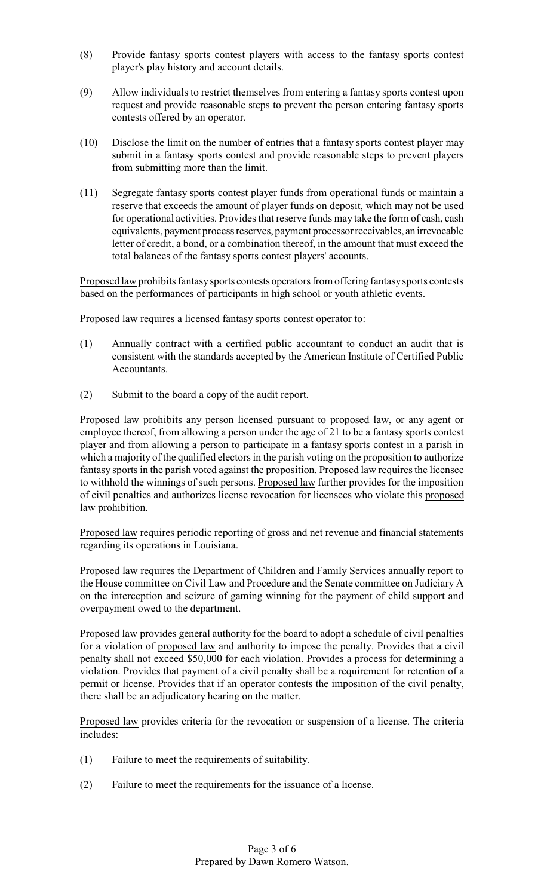- (8) Provide fantasy sports contest players with access to the fantasy sports contest player's play history and account details.
- (9) Allow individuals to restrict themselves from entering a fantasy sports contest upon request and provide reasonable steps to prevent the person entering fantasy sports contests offered by an operator.
- (10) Disclose the limit on the number of entries that a fantasy sports contest player may submit in a fantasy sports contest and provide reasonable steps to prevent players from submitting more than the limit.
- (11) Segregate fantasy sports contest player funds from operational funds or maintain a reserve that exceeds the amount of player funds on deposit, which may not be used for operational activities. Provides that reserve funds may take the form of cash, cash equivalents, payment process reserves, payment processorreceivables, an irrevocable letter of credit, a bond, or a combination thereof, in the amount that must exceed the total balances of the fantasy sports contest players' accounts.

Proposed law prohibits fantasysports contests operators from offering fantasysports contests based on the performances of participants in high school or youth athletic events.

Proposed law requires a licensed fantasy sports contest operator to:

- (1) Annually contract with a certified public accountant to conduct an audit that is consistent with the standards accepted by the American Institute of Certified Public Accountants.
- (2) Submit to the board a copy of the audit report.

Proposed law prohibits any person licensed pursuant to proposed law, or any agent or employee thereof, from allowing a person under the age of 21 to be a fantasy sports contest player and from allowing a person to participate in a fantasy sports contest in a parish in which a majority of the qualified electors in the parish voting on the proposition to authorize fantasy sports in the parish voted against the proposition. Proposed law requires the licensee to withhold the winnings of such persons. Proposed law further provides for the imposition of civil penalties and authorizes license revocation for licensees who violate this proposed law prohibition.

Proposed law requires periodic reporting of gross and net revenue and financial statements regarding its operations in Louisiana.

Proposed law requires the Department of Children and Family Services annually report to the House committee on Civil Law and Procedure and the Senate committee on Judiciary A on the interception and seizure of gaming winning for the payment of child support and overpayment owed to the department.

Proposed law provides general authority for the board to adopt a schedule of civil penalties for a violation of proposed law and authority to impose the penalty. Provides that a civil penalty shall not exceed \$50,000 for each violation. Provides a process for determining a violation. Provides that payment of a civil penalty shall be a requirement for retention of a permit or license. Provides that if an operator contests the imposition of the civil penalty, there shall be an adjudicatory hearing on the matter.

Proposed law provides criteria for the revocation or suspension of a license. The criteria includes:

- (1) Failure to meet the requirements of suitability.
- (2) Failure to meet the requirements for the issuance of a license.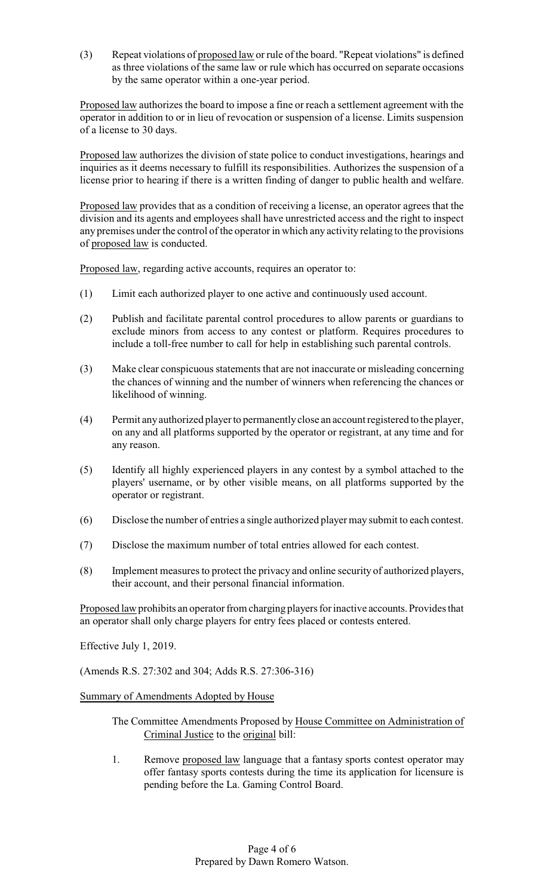(3) Repeat violations of proposed law or rule of the board. "Repeat violations" is defined as three violations of the same law or rule which has occurred on separate occasions by the same operator within a one-year period.

Proposed law authorizes the board to impose a fine or reach a settlement agreement with the operator in addition to or in lieu of revocation or suspension of a license. Limits suspension of a license to 30 days.

Proposed law authorizes the division of state police to conduct investigations, hearings and inquiries as it deems necessary to fulfill its responsibilities. Authorizes the suspension of a license prior to hearing if there is a written finding of danger to public health and welfare.

Proposed law provides that as a condition of receiving a license, an operator agrees that the division and its agents and employees shall have unrestricted access and the right to inspect any premises under the control of the operator in which any activity relating to the provisions of proposed law is conducted.

Proposed law, regarding active accounts, requires an operator to:

- (1) Limit each authorized player to one active and continuously used account.
- (2) Publish and facilitate parental control procedures to allow parents or guardians to exclude minors from access to any contest or platform. Requires procedures to include a toll-free number to call for help in establishing such parental controls.
- (3) Make clear conspicuous statements that are not inaccurate or misleading concerning the chances of winning and the number of winners when referencing the chances or likelihood of winning.
- (4) Permit anyauthorized player to permanentlyclose an account registered to the player, on any and all platforms supported by the operator or registrant, at any time and for any reason.
- (5) Identify all highly experienced players in any contest by a symbol attached to the players' username, or by other visible means, on all platforms supported by the operator or registrant.
- (6) Disclose the number of entries a single authorized player may submit to each contest.
- (7) Disclose the maximum number of total entries allowed for each contest.
- (8) Implement measures to protect the privacy and online security of authorized players, their account, and their personal financial information.

Proposed law prohibits an operator from charging players for inactive accounts. Provides that an operator shall only charge players for entry fees placed or contests entered.

Effective July 1, 2019.

(Amends R.S. 27:302 and 304; Adds R.S. 27:306-316)

Summary of Amendments Adopted by House

- The Committee Amendments Proposed by House Committee on Administration of Criminal Justice to the original bill:
- 1. Remove proposed law language that a fantasy sports contest operator may offer fantasy sports contests during the time its application for licensure is pending before the La. Gaming Control Board.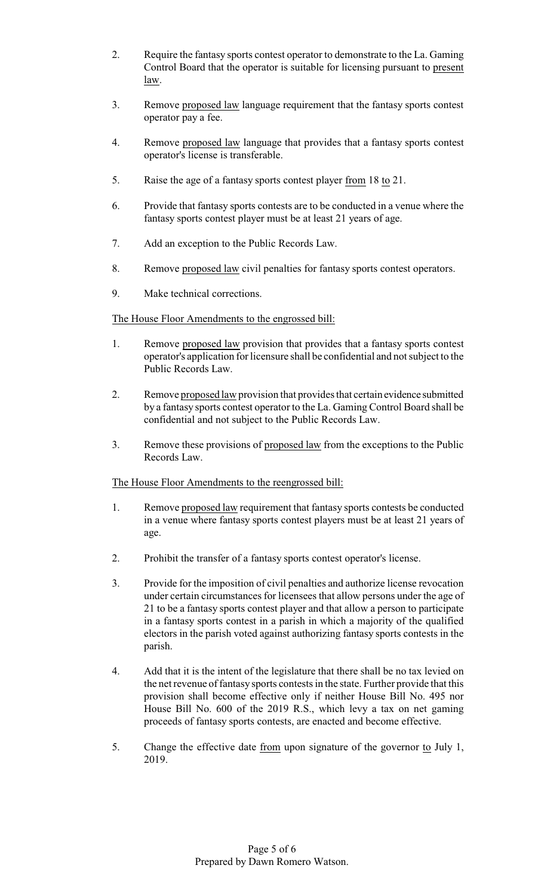- 2. Require the fantasy sports contest operator to demonstrate to the La. Gaming Control Board that the operator is suitable for licensing pursuant to present law.
- 3. Remove proposed law language requirement that the fantasy sports contest operator pay a fee.
- 4. Remove proposed law language that provides that a fantasy sports contest operator's license is transferable.
- 5. Raise the age of a fantasy sports contest player from 18 to 21.
- 6. Provide that fantasy sports contests are to be conducted in a venue where the fantasy sports contest player must be at least 21 years of age.
- 7. Add an exception to the Public Records Law.
- 8. Remove proposed law civil penalties for fantasy sports contest operators.
- 9. Make technical corrections.

The House Floor Amendments to the engrossed bill:

- 1. Remove proposed law provision that provides that a fantasy sports contest operator's application for licensure shall be confidential and not subject to the Public Records Law.
- 2. Remove proposed law provision that provides that certain evidence submitted by a fantasy sports contest operator to the La. Gaming Control Board shall be confidential and not subject to the Public Records Law.
- 3. Remove these provisions of proposed law from the exceptions to the Public Records Law.

The House Floor Amendments to the reengrossed bill:

- 1. Remove proposed law requirement that fantasy sports contests be conducted in a venue where fantasy sports contest players must be at least 21 years of age.
- 2. Prohibit the transfer of a fantasy sports contest operator's license.
- 3. Provide for the imposition of civil penalties and authorize license revocation under certain circumstances for licensees that allow persons under the age of 21 to be a fantasy sports contest player and that allow a person to participate in a fantasy sports contest in a parish in which a majority of the qualified electors in the parish voted against authorizing fantasy sports contests in the parish.
- 4. Add that it is the intent of the legislature that there shall be no tax levied on the net revenue of fantasy sports contests in the state. Further provide that this provision shall become effective only if neither House Bill No. 495 nor House Bill No. 600 of the 2019 R.S., which levy a tax on net gaming proceeds of fantasy sports contests, are enacted and become effective.
- 5. Change the effective date from upon signature of the governor to July 1, 2019.